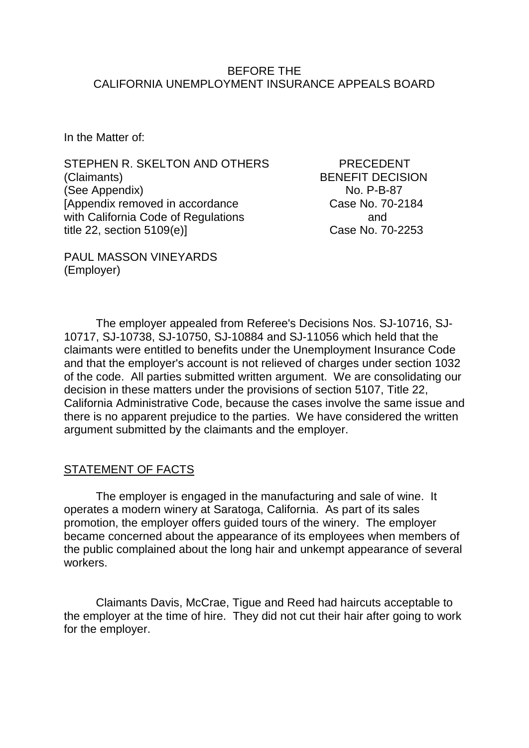#### BEFORE THE CALIFORNIA UNEMPLOYMENT INSURANCE APPEALS BOARD

In the Matter of:

STEPHEN R. SKELTON AND OTHERS PRECEDENT (Claimants) BENEFIT DECISION (See Appendix) No. P-B-87 [Appendix removed in accordance Case No. 70-2184] with California Code of Regulations and and title 22, section 5109(e)] Case No. 70-2253

PAUL MASSON VINEYARDS (Employer)

The employer appealed from Referee's Decisions Nos. SJ-10716, SJ-10717, SJ-10738, SJ-10750, SJ-10884 and SJ-11056 which held that the claimants were entitled to benefits under the Unemployment Insurance Code and that the employer's account is not relieved of charges under section 1032 of the code. All parties submitted written argument. We are consolidating our decision in these matters under the provisions of section 5107, Title 22, California Administrative Code, because the cases involve the same issue and there is no apparent prejudice to the parties. We have considered the written argument submitted by the claimants and the employer.

## STATEMENT OF FACTS

The employer is engaged in the manufacturing and sale of wine. It operates a modern winery at Saratoga, California. As part of its sales promotion, the employer offers guided tours of the winery. The employer became concerned about the appearance of its employees when members of the public complained about the long hair and unkempt appearance of several workers.

Claimants Davis, McCrae, Tigue and Reed had haircuts acceptable to the employer at the time of hire. They did not cut their hair after going to work for the employer.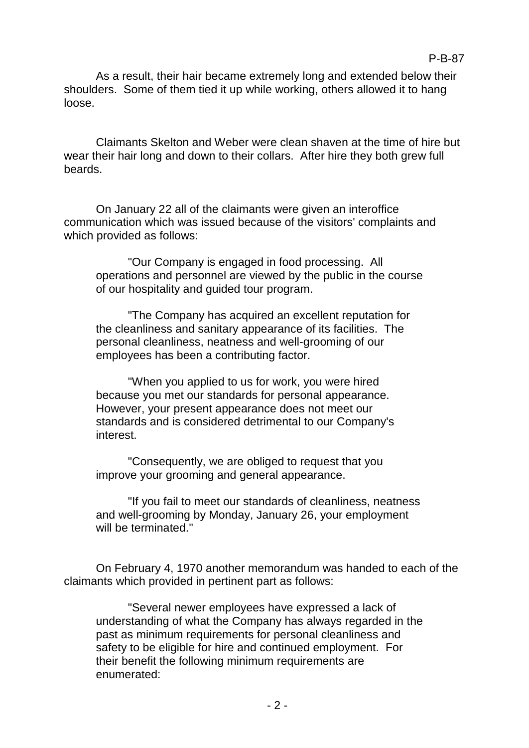As a result, their hair became extremely long and extended below their shoulders. Some of them tied it up while working, others allowed it to hang loose.

Claimants Skelton and Weber were clean shaven at the time of hire but wear their hair long and down to their collars. After hire they both grew full beards.

On January 22 all of the claimants were given an interoffice communication which was issued because of the visitors' complaints and which provided as follows:

"Our Company is engaged in food processing. All operations and personnel are viewed by the public in the course of our hospitality and guided tour program.

"The Company has acquired an excellent reputation for the cleanliness and sanitary appearance of its facilities. The personal cleanliness, neatness and well-grooming of our employees has been a contributing factor.

"When you applied to us for work, you were hired because you met our standards for personal appearance. However, your present appearance does not meet our standards and is considered detrimental to our Company's interest.

"Consequently, we are obliged to request that you improve your grooming and general appearance.

"If you fail to meet our standards of cleanliness, neatness and well-grooming by Monday, January 26, your employment will be terminated."

On February 4, 1970 another memorandum was handed to each of the claimants which provided in pertinent part as follows:

"Several newer employees have expressed a lack of understanding of what the Company has always regarded in the past as minimum requirements for personal cleanliness and safety to be eligible for hire and continued employment. For their benefit the following minimum requirements are enumerated: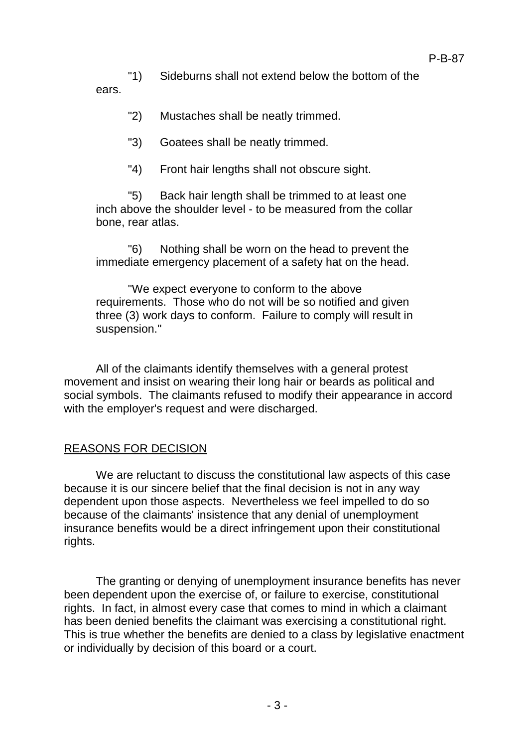"1) Sideburns shall not extend below the bottom of the

ears.

- "2) Mustaches shall be neatly trimmed.
- "3) Goatees shall be neatly trimmed.
- "4) Front hair lengths shall not obscure sight.

"5) Back hair length shall be trimmed to at least one inch above the shoulder level - to be measured from the collar bone, rear atlas.

"6) Nothing shall be worn on the head to prevent the immediate emergency placement of a safety hat on the head.

"We expect everyone to conform to the above requirements. Those who do not will be so notified and given three (3) work days to conform. Failure to comply will result in suspension."

All of the claimants identify themselves with a general protest movement and insist on wearing their long hair or beards as political and social symbols. The claimants refused to modify their appearance in accord with the employer's request and were discharged.

## REASONS FOR DECISION

We are reluctant to discuss the constitutional law aspects of this case because it is our sincere belief that the final decision is not in any way dependent upon those aspects. Nevertheless we feel impelled to do so because of the claimants' insistence that any denial of unemployment insurance benefits would be a direct infringement upon their constitutional rights.

The granting or denying of unemployment insurance benefits has never been dependent upon the exercise of, or failure to exercise, constitutional rights. In fact, in almost every case that comes to mind in which a claimant has been denied benefits the claimant was exercising a constitutional right. This is true whether the benefits are denied to a class by legislative enactment or individually by decision of this board or a court.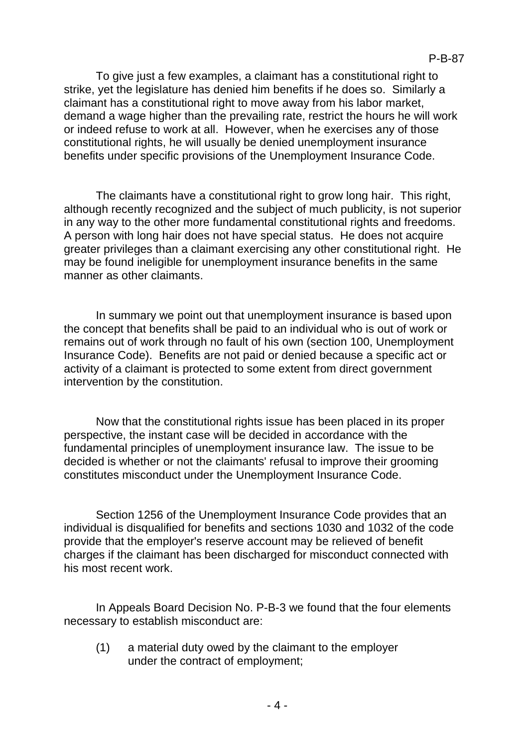To give just a few examples, a claimant has a constitutional right to strike, yet the legislature has denied him benefits if he does so. Similarly a claimant has a constitutional right to move away from his labor market, demand a wage higher than the prevailing rate, restrict the hours he will work or indeed refuse to work at all. However, when he exercises any of those constitutional rights, he will usually be denied unemployment insurance benefits under specific provisions of the Unemployment Insurance Code.

The claimants have a constitutional right to grow long hair. This right, although recently recognized and the subject of much publicity, is not superior in any way to the other more fundamental constitutional rights and freedoms. A person with long hair does not have special status. He does not acquire greater privileges than a claimant exercising any other constitutional right. He may be found ineligible for unemployment insurance benefits in the same manner as other claimants.

In summary we point out that unemployment insurance is based upon the concept that benefits shall be paid to an individual who is out of work or remains out of work through no fault of his own (section 100, Unemployment Insurance Code). Benefits are not paid or denied because a specific act or activity of a claimant is protected to some extent from direct government intervention by the constitution.

Now that the constitutional rights issue has been placed in its proper perspective, the instant case will be decided in accordance with the fundamental principles of unemployment insurance law. The issue to be decided is whether or not the claimants' refusal to improve their grooming constitutes misconduct under the Unemployment Insurance Code.

Section 1256 of the Unemployment Insurance Code provides that an individual is disqualified for benefits and sections 1030 and 1032 of the code provide that the employer's reserve account may be relieved of benefit charges if the claimant has been discharged for misconduct connected with his most recent work.

In Appeals Board Decision No. P-B-3 we found that the four elements necessary to establish misconduct are:

(1) a material duty owed by the claimant to the employer under the contract of employment;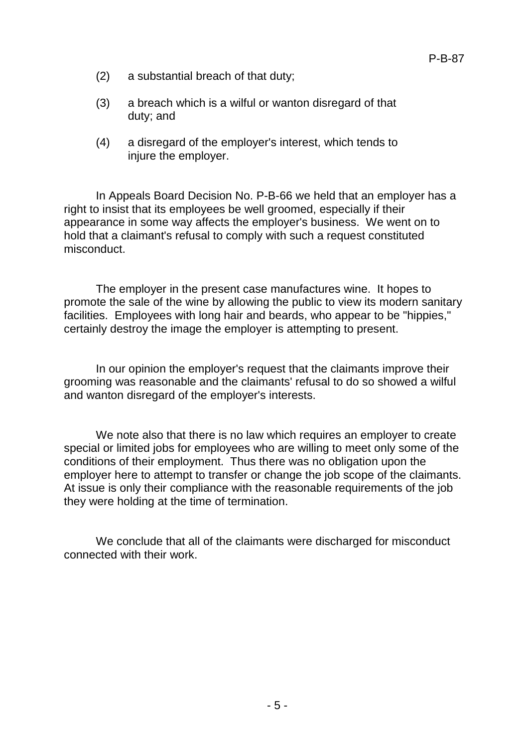- (2) a substantial breach of that duty;
- (3) a breach which is a wilful or wanton disregard of that duty; and
- (4) a disregard of the employer's interest, which tends to injure the employer.

In Appeals Board Decision No. P-B-66 we held that an employer has a right to insist that its employees be well groomed, especially if their appearance in some way affects the employer's business. We went on to hold that a claimant's refusal to comply with such a request constituted misconduct.

The employer in the present case manufactures wine. It hopes to promote the sale of the wine by allowing the public to view its modern sanitary facilities. Employees with long hair and beards, who appear to be "hippies," certainly destroy the image the employer is attempting to present.

In our opinion the employer's request that the claimants improve their grooming was reasonable and the claimants' refusal to do so showed a wilful and wanton disregard of the employer's interests.

We note also that there is no law which requires an employer to create special or limited jobs for employees who are willing to meet only some of the conditions of their employment. Thus there was no obligation upon the employer here to attempt to transfer or change the job scope of the claimants. At issue is only their compliance with the reasonable requirements of the job they were holding at the time of termination.

We conclude that all of the claimants were discharged for misconduct connected with their work.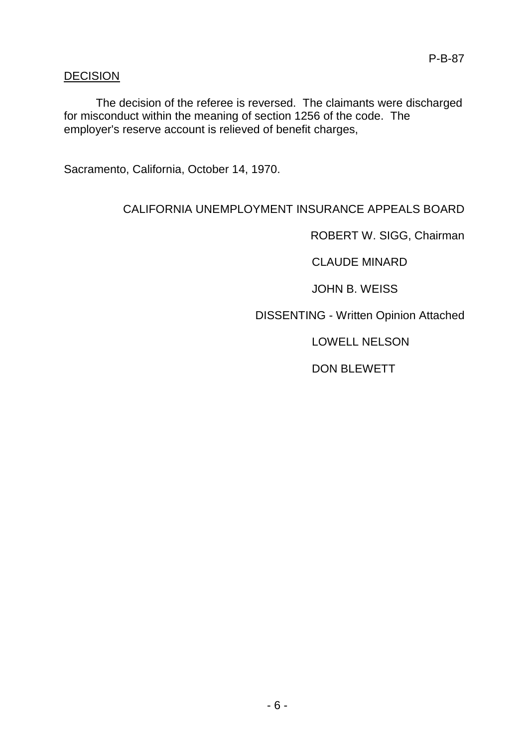## DECISION

The decision of the referee is reversed. The claimants were discharged for misconduct within the meaning of section 1256 of the code. The employer's reserve account is relieved of benefit charges,

Sacramento, California, October 14, 1970.

# CALIFORNIA UNEMPLOYMENT INSURANCE APPEALS BOARD

ROBERT W. SIGG, Chairman

CLAUDE MINARD

JOHN B. WEISS

DISSENTING - Written Opinion Attached

LOWELL NELSON

DON BLEWETT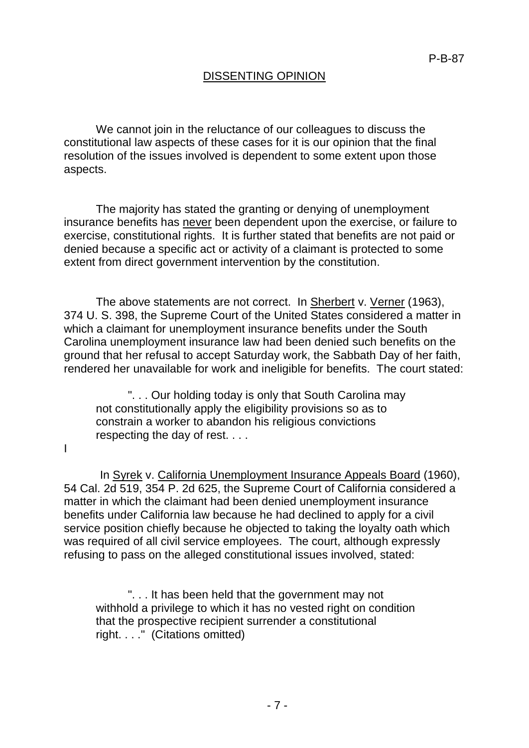## DISSENTING OPINION

We cannot join in the reluctance of our colleagues to discuss the constitutional law aspects of these cases for it is our opinion that the final resolution of the issues involved is dependent to some extent upon those aspects.

The majority has stated the granting or denying of unemployment insurance benefits has never been dependent upon the exercise, or failure to exercise, constitutional rights. It is further stated that benefits are not paid or denied because a specific act or activity of a claimant is protected to some extent from direct government intervention by the constitution.

The above statements are not correct. In Sherbert v. Verner (1963), 374 U. S. 398, the Supreme Court of the United States considered a matter in which a claimant for unemployment insurance benefits under the South Carolina unemployment insurance law had been denied such benefits on the ground that her refusal to accept Saturday work, the Sabbath Day of her faith, rendered her unavailable for work and ineligible for benefits. The court stated:

". . . Our holding today is only that South Carolina may not constitutionally apply the eligibility provisions so as to constrain a worker to abandon his religious convictions respecting the day of rest. . . .

I

In Syrek v. California Unemployment Insurance Appeals Board (1960), 54 Cal. 2d 519, 354 P. 2d 625, the Supreme Court of California considered a matter in which the claimant had been denied unemployment insurance benefits under California law because he had declined to apply for a civil service position chiefly because he objected to taking the loyalty oath which was required of all civil service employees. The court, although expressly refusing to pass on the alleged constitutional issues involved, stated:

". . . It has been held that the government may not withhold a privilege to which it has no vested right on condition that the prospective recipient surrender a constitutional right. . . ." (Citations omitted)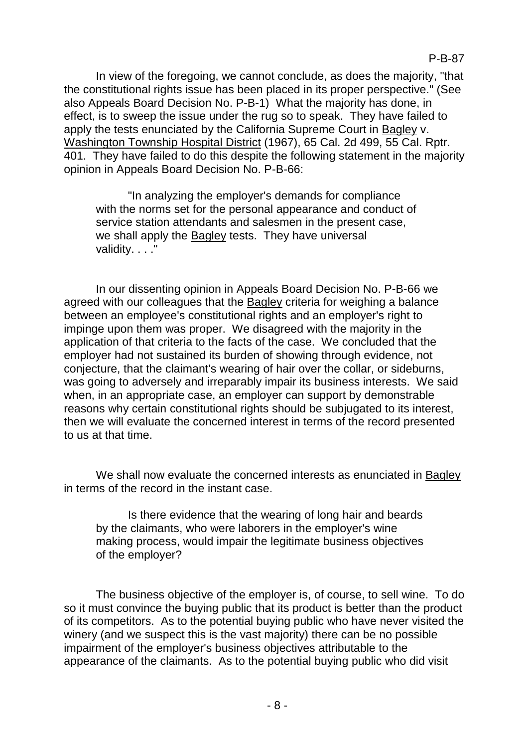In view of the foregoing, we cannot conclude, as does the majority, "that the constitutional rights issue has been placed in its proper perspective." (See also Appeals Board Decision No. P-B-1) What the majority has done, in effect, is to sweep the issue under the rug so to speak. They have failed to apply the tests enunciated by the California Supreme Court in Bagley v. Washington Township Hospital District (1967), 65 Cal. 2d 499, 55 Cal. Rptr. 401. They have failed to do this despite the following statement in the majority opinion in Appeals Board Decision No. P-B-66:

"In analyzing the employer's demands for compliance with the norms set for the personal appearance and conduct of service station attendants and salesmen in the present case, we shall apply the Bagley tests. They have universal validity. . . ."

In our dissenting opinion in Appeals Board Decision No. P-B-66 we agreed with our colleagues that the Bagley criteria for weighing a balance between an employee's constitutional rights and an employer's right to impinge upon them was proper. We disagreed with the majority in the application of that criteria to the facts of the case. We concluded that the employer had not sustained its burden of showing through evidence, not conjecture, that the claimant's wearing of hair over the collar, or sideburns, was going to adversely and irreparably impair its business interests. We said when, in an appropriate case, an employer can support by demonstrable reasons why certain constitutional rights should be subjugated to its interest, then we will evaluate the concerned interest in terms of the record presented to us at that time.

We shall now evaluate the concerned interests as enunciated in Bagley in terms of the record in the instant case.

Is there evidence that the wearing of long hair and beards by the claimants, who were laborers in the employer's wine making process, would impair the legitimate business objectives of the employer?

The business objective of the employer is, of course, to sell wine. To do so it must convince the buying public that its product is better than the product of its competitors. As to the potential buying public who have never visited the winery (and we suspect this is the vast majority) there can be no possible impairment of the employer's business objectives attributable to the appearance of the claimants. As to the potential buying public who did visit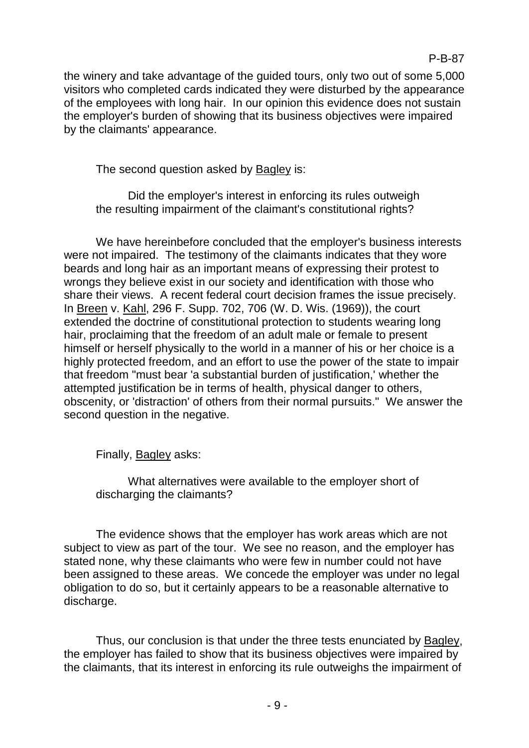the winery and take advantage of the guided tours, only two out of some 5,000 visitors who completed cards indicated they were disturbed by the appearance of the employees with long hair. In our opinion this evidence does not sustain the employer's burden of showing that its business objectives were impaired by the claimants' appearance.

The second question asked by Bagley is:

Did the employer's interest in enforcing its rules outweigh the resulting impairment of the claimant's constitutional rights?

We have hereinbefore concluded that the employer's business interests were not impaired. The testimony of the claimants indicates that they wore beards and long hair as an important means of expressing their protest to wrongs they believe exist in our society and identification with those who share their views. A recent federal court decision frames the issue precisely. In Breen v. Kahl, 296 F. Supp. 702, 706 (W. D. Wis. (1969)), the court extended the doctrine of constitutional protection to students wearing long hair, proclaiming that the freedom of an adult male or female to present himself or herself physically to the world in a manner of his or her choice is a highly protected freedom, and an effort to use the power of the state to impair that freedom "must bear 'a substantial burden of justification,' whether the attempted justification be in terms of health, physical danger to others, obscenity, or 'distraction' of others from their normal pursuits." We answer the second question in the negative.

Finally, Bagley asks:

What alternatives were available to the employer short of discharging the claimants?

The evidence shows that the employer has work areas which are not subject to view as part of the tour. We see no reason, and the employer has stated none, why these claimants who were few in number could not have been assigned to these areas. We concede the employer was under no legal obligation to do so, but it certainly appears to be a reasonable alternative to discharge.

Thus, our conclusion is that under the three tests enunciated by Bagley, the employer has failed to show that its business objectives were impaired by the claimants, that its interest in enforcing its rule outweighs the impairment of